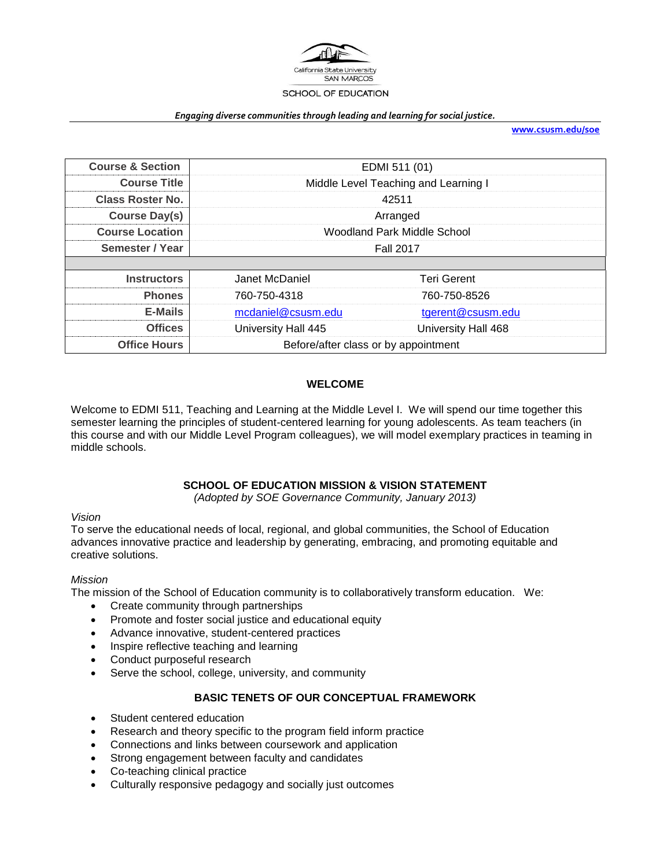

#### *Engaging diverse communities through leading and learning for social justice.*

**[www.csusm.edu/soe](http://www.csusm.edu/soe)**

| <b>Course &amp; Section</b> | EDMI 511 (01)                        |                     |  |  |
|-----------------------------|--------------------------------------|---------------------|--|--|
| <b>Course Title</b>         | Middle Level Teaching and Learning I |                     |  |  |
| <b>Class Roster No.</b>     | 42511                                |                     |  |  |
| <b>Course Day(s)</b>        | Arranged                             |                     |  |  |
| <b>Course Location</b>      | Woodland Park Middle School          |                     |  |  |
| Semester / Year             | <b>Fall 2017</b>                     |                     |  |  |
|                             |                                      |                     |  |  |
| <b>Instructors</b>          | Janet McDaniel                       | <b>Teri Gerent</b>  |  |  |
| <b>Phones</b>               | 760-750-4318                         | 760-750-8526        |  |  |
| <b>E-Mails</b>              | mcdaniel@csusm.edu                   | tgerent@csusm.edu   |  |  |
| <b>Offices</b>              | University Hall 445                  | University Hall 468 |  |  |
| <b>Office Hours</b>         | Before/after class or by appointment |                     |  |  |

### **WELCOME**

Welcome to EDMI 511, Teaching and Learning at the Middle Level I. We will spend our time together this semester learning the principles of student-centered learning for young adolescents. As team teachers (in this course and with our Middle Level Program colleagues), we will model exemplary practices in teaming in middle schools.

#### **SCHOOL OF EDUCATION MISSION & VISION STATEMENT**

*(Adopted by SOE Governance Community, January 2013)*

#### *Vision*

To serve the educational needs of local, regional, and global communities, the School of Education advances innovative practice and leadership by generating, embracing, and promoting equitable and creative solutions.

#### *Mission*

The mission of the School of Education community is to collaboratively transform education. We:

- Create community through partnerships
- Promote and foster social justice and educational equity
- Advance innovative, student-centered practices
- Inspire reflective teaching and learning
- Conduct purposeful research
- Serve the school, college, university, and community

#### **BASIC TENETS OF OUR CONCEPTUAL FRAMEWORK**

- Student centered education
- Research and theory specific to the program field inform practice
- Connections and links between coursework and application
- Strong engagement between faculty and candidates
- Co-teaching clinical practice
- Culturally responsive pedagogy and socially just outcomes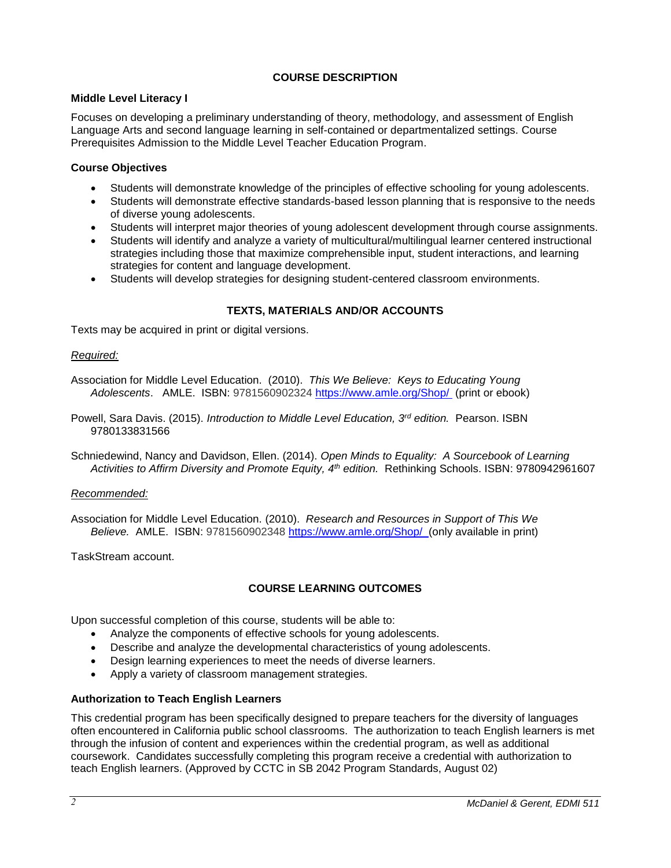## **COURSE DESCRIPTION**

## **Middle Level Literacy I**

Focuses on developing a preliminary understanding of theory, methodology, and assessment of English Language Arts and second language learning in self-contained or departmentalized settings. Course Prerequisites Admission to the Middle Level Teacher Education Program.

## **Course Objectives**

- Students will demonstrate knowledge of the principles of effective schooling for young adolescents.
- Students will demonstrate effective standards-based lesson planning that is responsive to the needs of diverse young adolescents.
- Students will interpret major theories of young adolescent development through course assignments.
- Students will identify and analyze a variety of multicultural/multilingual learner centered instructional strategies including those that maximize comprehensible input, student interactions, and learning strategies for content and language development.
- Students will develop strategies for designing student-centered classroom environments.

## **TEXTS, MATERIALS AND/OR ACCOUNTS**

Texts may be acquired in print or digital versions.

### *Required:*

Association for Middle Level Education. (2010). *This We Believe: Keys to Educating Young Adolescents*. AMLE. ISBN: 9781560902324 <https://www.amle.org/Shop/> (print or ebook)

Powell, Sara Davis. (2015). *Introduction to Middle Level Education, 3rd edition.* Pearson. ISBN 9780133831566

Schniedewind, Nancy and Davidson, Ellen. (2014). *Open Minds to Equality: A Sourcebook of Learning Activities to Affirm Diversity and Promote Equity, 4th edition.* Rethinking Schools. ISBN: 9780942961607

#### *Recommended:*

Association for Middle Level Education. (2010). *Research and Resources in Support of This We Believe.* AMLE. ISBN: 9781560902348 <https://www.amle.org/Shop/>(only available in print)

TaskStream account.

## **COURSE LEARNING OUTCOMES**

Upon successful completion of this course, students will be able to:

- Analyze the components of effective schools for young adolescents.
- Describe and analyze the developmental characteristics of young adolescents.
- Design learning experiences to meet the needs of diverse learners.
- Apply a variety of classroom management strategies.

## **Authorization to Teach English Learners**

This credential program has been specifically designed to prepare teachers for the diversity of languages often encountered in California public school classrooms. The authorization to teach English learners is met through the infusion of content and experiences within the credential program, as well as additional coursework. Candidates successfully completing this program receive a credential with authorization to teach English learners. (Approved by CCTC in SB 2042 Program Standards, August 02)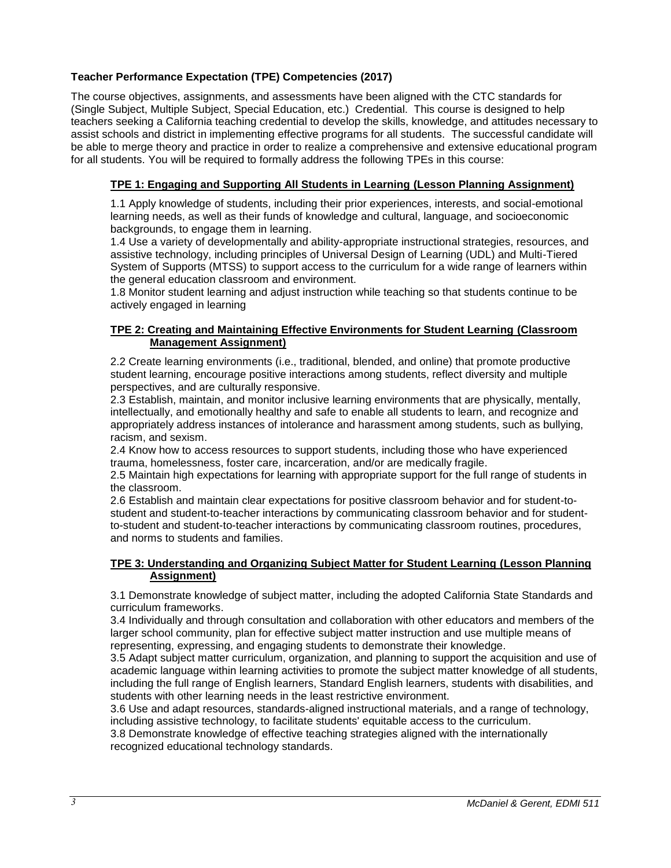# **Teacher Performance Expectation (TPE) Competencies (2017)**

The course objectives, assignments, and assessments have been aligned with the CTC standards for (Single Subject, Multiple Subject, Special Education, etc.) Credential. This course is designed to help teachers seeking a California teaching credential to develop the skills, knowledge, and attitudes necessary to assist schools and district in implementing effective programs for all students. The successful candidate will be able to merge theory and practice in order to realize a comprehensive and extensive educational program for all students. You will be required to formally address the following TPEs in this course:

## **TPE 1: Engaging and Supporting All Students in Learning (Lesson Planning Assignment)**

1.1 Apply knowledge of students, including their prior experiences, interests, and social-emotional learning needs, as well as their funds of knowledge and cultural, language, and socioeconomic backgrounds, to engage them in learning.

1.4 Use a variety of developmentally and ability-appropriate instructional strategies, resources, and assistive technology, including principles of Universal Design of Learning (UDL) and Multi-Tiered System of Supports (MTSS) to support access to the curriculum for a wide range of learners within the general education classroom and environment.

1.8 Monitor student learning and adjust instruction while teaching so that students continue to be actively engaged in learning

### **TPE 2: Creating and Maintaining Effective Environments for Student Learning (Classroom Management Assignment)**

2.2 Create learning environments (i.e., traditional, blended, and online) that promote productive student learning, encourage positive interactions among students, reflect diversity and multiple perspectives, and are culturally responsive.

2.3 Establish, maintain, and monitor inclusive learning environments that are physically, mentally, intellectually, and emotionally healthy and safe to enable all students to learn, and recognize and appropriately address instances of intolerance and harassment among students, such as bullying, racism, and sexism.

2.4 Know how to access resources to support students, including those who have experienced trauma, homelessness, foster care, incarceration, and/or are medically fragile.

2.5 Maintain high expectations for learning with appropriate support for the full range of students in the classroom.

2.6 Establish and maintain clear expectations for positive classroom behavior and for student-tostudent and student-to-teacher interactions by communicating classroom behavior and for studentto-student and student-to-teacher interactions by communicating classroom routines, procedures, and norms to students and families.

## **TPE 3: Understanding and Organizing Subject Matter for Student Learning (Lesson Planning Assignment)**

3.1 Demonstrate knowledge of subject matter, including the adopted California State Standards and curriculum frameworks.

3.4 Individually and through consultation and collaboration with other educators and members of the larger school community, plan for effective subject matter instruction and use multiple means of representing, expressing, and engaging students to demonstrate their knowledge.

3.5 Adapt subject matter curriculum, organization, and planning to support the acquisition and use of academic language within learning activities to promote the subject matter knowledge of all students, including the full range of English learners, Standard English learners, students with disabilities, and students with other learning needs in the least restrictive environment.

3.6 Use and adapt resources, standards-aligned instructional materials, and a range of technology, including assistive technology, to facilitate students' equitable access to the curriculum.

3.8 Demonstrate knowledge of effective teaching strategies aligned with the internationally recognized educational technology standards.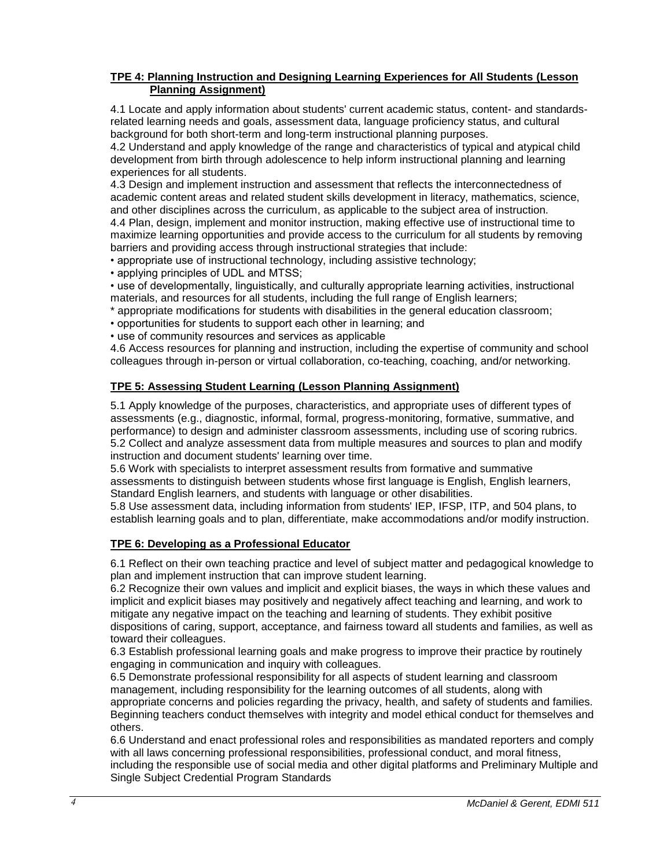### **TPE 4: Planning Instruction and Designing Learning Experiences for All Students (Lesson Planning Assignment)**

4.1 Locate and apply information about students' current academic status, content- and standardsrelated learning needs and goals, assessment data, language proficiency status, and cultural background for both short-term and long-term instructional planning purposes.

4.2 Understand and apply knowledge of the range and characteristics of typical and atypical child development from birth through adolescence to help inform instructional planning and learning experiences for all students.

4.3 Design and implement instruction and assessment that reflects the interconnectedness of academic content areas and related student skills development in literacy, mathematics, science, and other disciplines across the curriculum, as applicable to the subject area of instruction.

4.4 Plan, design, implement and monitor instruction, making effective use of instructional time to maximize learning opportunities and provide access to the curriculum for all students by removing barriers and providing access through instructional strategies that include:

• appropriate use of instructional technology, including assistive technology;

• applying principles of UDL and MTSS;

• use of developmentally, linguistically, and culturally appropriate learning activities, instructional materials, and resources for all students, including the full range of English learners;

- \* appropriate modifications for students with disabilities in the general education classroom;
- opportunities for students to support each other in learning; and
- use of community resources and services as applicable

4.6 Access resources for planning and instruction, including the expertise of community and school colleagues through in-person or virtual collaboration, co-teaching, coaching, and/or networking.

## **TPE 5: Assessing Student Learning (Lesson Planning Assignment)**

5.1 Apply knowledge of the purposes, characteristics, and appropriate uses of different types of assessments (e.g., diagnostic, informal, formal, progress-monitoring, formative, summative, and performance) to design and administer classroom assessments, including use of scoring rubrics. 5.2 Collect and analyze assessment data from multiple measures and sources to plan and modify instruction and document students' learning over time.

5.6 Work with specialists to interpret assessment results from formative and summative assessments to distinguish between students whose first language is English, English learners, Standard English learners, and students with language or other disabilities.

5.8 Use assessment data, including information from students' IEP, IFSP, ITP, and 504 plans, to establish learning goals and to plan, differentiate, make accommodations and/or modify instruction.

## **TPE 6: Developing as a Professional Educator**

6.1 Reflect on their own teaching practice and level of subject matter and pedagogical knowledge to plan and implement instruction that can improve student learning.

6.2 Recognize their own values and implicit and explicit biases, the ways in which these values and implicit and explicit biases may positively and negatively affect teaching and learning, and work to mitigate any negative impact on the teaching and learning of students. They exhibit positive dispositions of caring, support, acceptance, and fairness toward all students and families, as well as toward their colleagues.

6.3 Establish professional learning goals and make progress to improve their practice by routinely engaging in communication and inquiry with colleagues.

6.5 Demonstrate professional responsibility for all aspects of student learning and classroom management, including responsibility for the learning outcomes of all students, along with appropriate concerns and policies regarding the privacy, health, and safety of students and families. Beginning teachers conduct themselves with integrity and model ethical conduct for themselves and others.

6.6 Understand and enact professional roles and responsibilities as mandated reporters and comply with all laws concerning professional responsibilities, professional conduct, and moral fitness, including the responsible use of social media and other digital platforms and Preliminary Multiple and Single Subject Credential Program Standards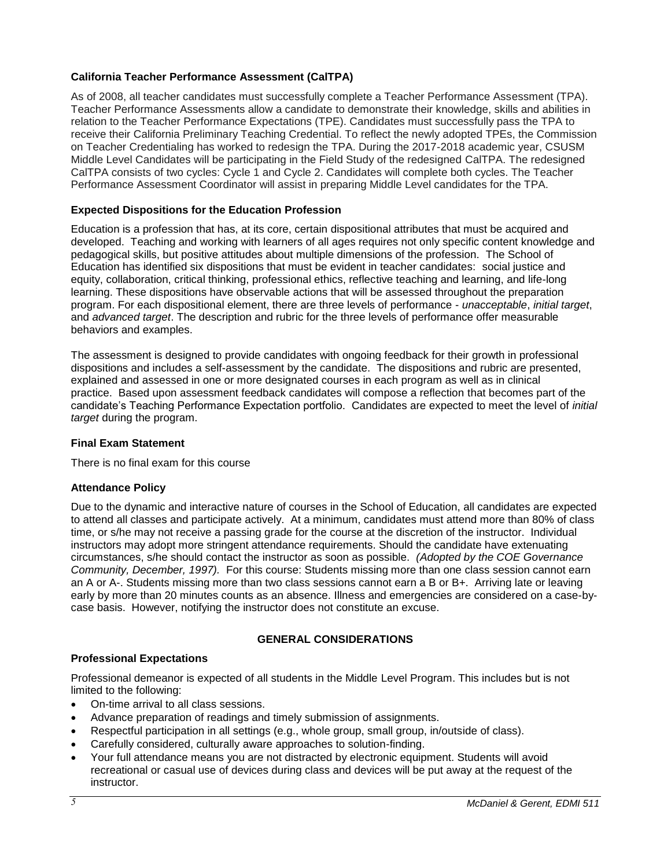## **California Teacher Performance Assessment (CalTPA)**

As of 2008, all teacher candidates must successfully complete a Teacher Performance Assessment (TPA). Teacher Performance Assessments allow a candidate to demonstrate their knowledge, skills and abilities in relation to the Teacher Performance Expectations (TPE). Candidates must successfully pass the TPA to receive their California Preliminary Teaching Credential. To reflect the newly adopted TPEs, the Commission on Teacher Credentialing has worked to redesign the TPA. During the 2017-2018 academic year, CSUSM Middle Level Candidates will be participating in the Field Study of the redesigned CalTPA. The redesigned CalTPA consists of two cycles: Cycle 1 and Cycle 2. Candidates will complete both cycles. The Teacher Performance Assessment Coordinator will assist in preparing Middle Level candidates for the TPA.

## **Expected Dispositions for the Education Profession**

Education is a profession that has, at its core, certain dispositional attributes that must be acquired and developed. Teaching and working with learners of all ages requires not only specific content knowledge and pedagogical skills, but positive attitudes about multiple dimensions of the profession. The School of Education has identified six dispositions that must be evident in teacher candidates: social justice and equity, collaboration, critical thinking, professional ethics, reflective teaching and learning, and life-long learning. These dispositions have observable actions that will be assessed throughout the preparation program. For each dispositional element, there are three levels of performance - *unacceptable*, *initial target*, and *advanced target*. The description and rubric for the three levels of performance offer measurable behaviors and examples.

The assessment is designed to provide candidates with ongoing feedback for their growth in professional dispositions and includes a self-assessment by the candidate. The dispositions and rubric are presented, explained and assessed in one or more designated courses in each program as well as in clinical practice. Based upon assessment feedback candidates will compose a reflection that becomes part of the candidate's Teaching Performance Expectation portfolio. Candidates are expected to meet the level of *initial target* during the program.

## **Final Exam Statement**

There is no final exam for this course

## **Attendance Policy**

Due to the dynamic and interactive nature of courses in the School of Education, all candidates are expected to attend all classes and participate actively. At a minimum, candidates must attend more than 80% of class time, or s/he may not receive a passing grade for the course at the discretion of the instructor. Individual instructors may adopt more stringent attendance requirements. Should the candidate have extenuating circumstances, s/he should contact the instructor as soon as possible. *(Adopted by the COE Governance Community, December, 1997).* For this course: Students missing more than one class session cannot earn an A or A-. Students missing more than two class sessions cannot earn a B or B+. Arriving late or leaving early by more than 20 minutes counts as an absence. Illness and emergencies are considered on a case-bycase basis. However, notifying the instructor does not constitute an excuse.

# **GENERAL CONSIDERATIONS**

## **Professional Expectations**

Professional demeanor is expected of all students in the Middle Level Program. This includes but is not limited to the following:

- On-time arrival to all class sessions.
- Advance preparation of readings and timely submission of assignments.
- Respectful participation in all settings (e.g., whole group, small group, in/outside of class).
- Carefully considered, culturally aware approaches to solution-finding.
- Your full attendance means you are not distracted by electronic equipment. Students will avoid recreational or casual use of devices during class and devices will be put away at the request of the instructor.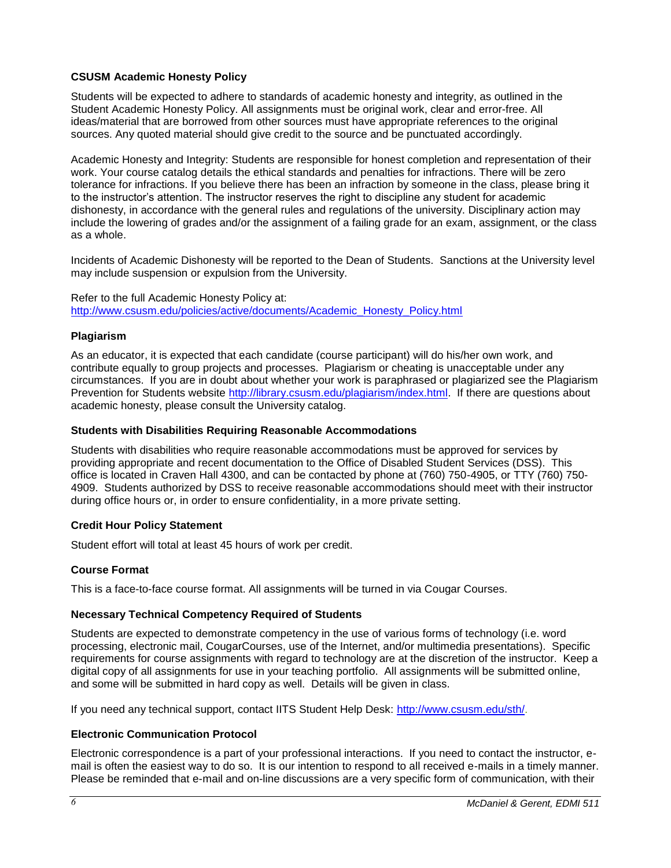## **CSUSM Academic Honesty Policy**

Students will be expected to adhere to standards of academic honesty and integrity, as outlined in the Student Academic Honesty Policy. All assignments must be original work, clear and error-free. All ideas/material that are borrowed from other sources must have appropriate references to the original sources. Any quoted material should give credit to the source and be punctuated accordingly.

Academic Honesty and Integrity: Students are responsible for honest completion and representation of their work. Your course catalog details the ethical standards and penalties for infractions. There will be zero tolerance for infractions. If you believe there has been an infraction by someone in the class, please bring it to the instructor's attention. The instructor reserves the right to discipline any student for academic dishonesty, in accordance with the general rules and regulations of the university. Disciplinary action may include the lowering of grades and/or the assignment of a failing grade for an exam, assignment, or the class as a whole.

Incidents of Academic Dishonesty will be reported to the Dean of Students. Sanctions at the University level may include suspension or expulsion from the University.

Refer to the full Academic Honesty Policy at: [http://www.csusm.edu/policies/active/documents/Academic\\_Honesty\\_Policy.html](http://www.csusm.edu/policies/active/documents/Academic_Honesty_Policy.html)

## **Plagiarism**

As an educator, it is expected that each candidate (course participant) will do his/her own work, and contribute equally to group projects and processes. Plagiarism or cheating is unacceptable under any circumstances. If you are in doubt about whether your work is paraphrased or plagiarized see the Plagiarism Prevention for Students website [http://library.csusm.edu/plagiarism/index.html.](http://library.csusm.edu/plagiarism/index.html) If there are questions about academic honesty, please consult the University catalog.

### **Students with Disabilities Requiring Reasonable Accommodations**

Students with disabilities who require reasonable accommodations must be approved for services by providing appropriate and recent documentation to the Office of Disabled Student Services (DSS). This office is located in Craven Hall 4300, and can be contacted by phone at (760) 750-4905, or TTY (760) 750- 4909. Students authorized by DSS to receive reasonable accommodations should meet with their instructor during office hours or, in order to ensure confidentiality, in a more private setting.

## **Credit Hour Policy Statement**

Student effort will total at least 45 hours of work per credit.

## **Course Format**

This is a face-to-face course format. All assignments will be turned in via Cougar Courses.

## **Necessary Technical Competency Required of Students**

Students are expected to demonstrate competency in the use of various forms of technology (i.e. word processing, electronic mail, CougarCourses, use of the Internet, and/or multimedia presentations). Specific requirements for course assignments with regard to technology are at the discretion of the instructor. Keep a digital copy of all assignments for use in your teaching portfolio. All assignments will be submitted online, and some will be submitted in hard copy as well. Details will be given in class.

If you need any technical support, contact IITS Student Help Desk: [http://www.csusm.edu/sth/.](http://www.csusm.edu/sth/)

## **Electronic Communication Protocol**

Electronic correspondence is a part of your professional interactions. If you need to contact the instructor, email is often the easiest way to do so. It is our intention to respond to all received e-mails in a timely manner. Please be reminded that e-mail and on-line discussions are a very specific form of communication, with their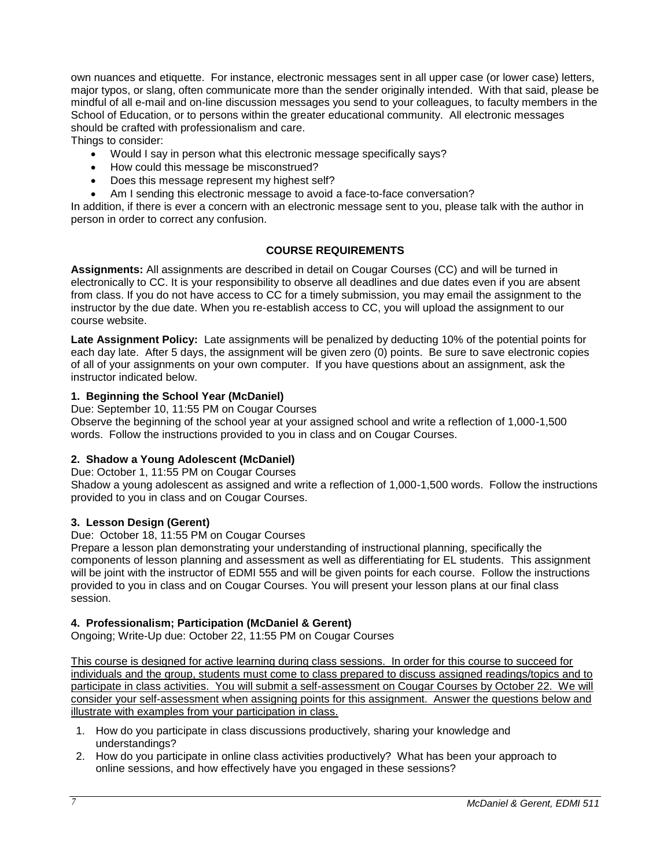own nuances and etiquette. For instance, electronic messages sent in all upper case (or lower case) letters, major typos, or slang, often communicate more than the sender originally intended. With that said, please be mindful of all e-mail and on-line discussion messages you send to your colleagues, to faculty members in the School of Education, or to persons within the greater educational community. All electronic messages should be crafted with professionalism and care.

Things to consider:

- Would I say in person what this electronic message specifically says?
- How could this message be misconstrued?
- Does this message represent my highest self?
- Am I sending this electronic message to avoid a face-to-face conversation?

In addition, if there is ever a concern with an electronic message sent to you, please talk with the author in person in order to correct any confusion.

## **COURSE REQUIREMENTS**

**Assignments:** All assignments are described in detail on Cougar Courses (CC) and will be turned in electronically to CC. It is your responsibility to observe all deadlines and due dates even if you are absent from class. If you do not have access to CC for a timely submission, you may email the assignment to the instructor by the due date. When you re-establish access to CC, you will upload the assignment to our course website.

**Late Assignment Policy:** Late assignments will be penalized by deducting 10% of the potential points for each day late. After 5 days, the assignment will be given zero (0) points. Be sure to save electronic copies of all of your assignments on your own computer. If you have questions about an assignment, ask the instructor indicated below.

### **1. Beginning the School Year (McDaniel)**

Due: September 10, 11:55 PM on Cougar Courses

Observe the beginning of the school year at your assigned school and write a reflection of 1,000-1,500 words. Follow the instructions provided to you in class and on Cougar Courses.

## **2. Shadow a Young Adolescent (McDaniel)**

Due: October 1, 11:55 PM on Cougar Courses

Shadow a young adolescent as assigned and write a reflection of 1,000-1,500 words. Follow the instructions provided to you in class and on Cougar Courses.

## **3. Lesson Design (Gerent)**

Due: October 18, 11:55 PM on Cougar Courses

Prepare a lesson plan demonstrating your understanding of instructional planning, specifically the components of lesson planning and assessment as well as differentiating for EL students. This assignment will be joint with the instructor of EDMI 555 and will be given points for each course. Follow the instructions provided to you in class and on Cougar Courses. You will present your lesson plans at our final class session.

## **4. Professionalism; Participation (McDaniel & Gerent)**

Ongoing; Write-Up due: October 22, 11:55 PM on Cougar Courses

This course is designed for active learning during class sessions. In order for this course to succeed for individuals and the group, students must come to class prepared to discuss assigned readings/topics and to participate in class activities. You will submit a self-assessment on Cougar Courses by October 22. We will consider your self-assessment when assigning points for this assignment. Answer the questions below and illustrate with examples from your participation in class.

- 1. How do you participate in class discussions productively, sharing your knowledge and understandings?
- 2. How do you participate in online class activities productively? What has been your approach to online sessions, and how effectively have you engaged in these sessions?